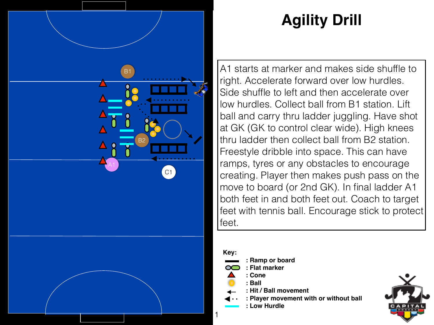

### **Agility Drill**

A1 starts at marker and makes side shuffle to right. Accelerate forward over low hurdles. Side shuffle to left and then accelerate over low hurdles. Collect ball from B1 station. Lift ball and carry thru ladder juggling. Have shot at GK (GK to control clear wide). High knees thru ladder then collect ball from B2 station. Freestyle dribble into space. This can have ramps, tyres or any obstacles to encourage creating. Player then makes push pass on the move to board (or 2nd GK). In final ladder A1 both feet in and both feet out. Coach to target feet with tennis ball. Encourage stick to protect feet.

**Key:**

- **: Ramp or board**
- **: Flat marker**
- **: Cone**
- **: Ball**
	- **: Hit / Ball movement**
	- **: Player movement with or without ball**
	- **: Low Hurdle**

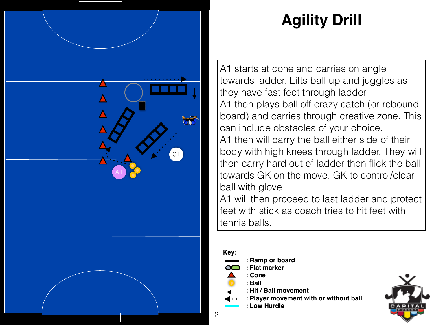

## **Agility Drill**

A1 starts at cone and carries on angle towards ladder. Lifts ball up and juggles as they have fast feet through ladder. A1 then plays ball off crazy catch (or rebound board) and carries through creative zone. This can include obstacles of your choice. A1 then will carry the ball either side of their body with high knees through ladder. They will then carry hard out of ladder then flick the ball towards GK on the move. GK to control/clear ball with glove.

A1 will then proceed to last ladder and protect feet with stick as coach tries to hit feet with tennis balls.

**Key:**

- **: Ramp or board**
- **: Flat marker**
- **: Cone**
- **: Ball**
	- **: Hit / Ball movement**
	- **: Player movement with or without ball**
	- **: Low Hurdle**

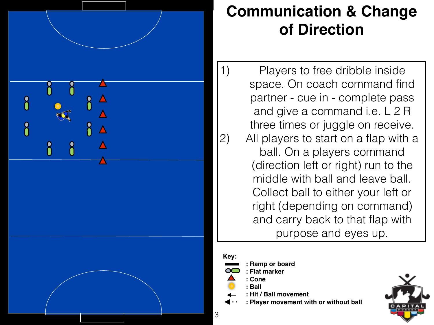

#### **Communication & Change of Direction**

1) Players to free dribble inside space. On coach command find partner - cue in - complete pass and give a command i.e. L 2 R three times or juggle on receive. 2) All players to start on a flap with a ball. On a players command (direction left or right) run to the middle with ball and leave ball. Collect ball to either your left or right (depending on command) and carry back to that flap with purpose and eyes up.

**Key:**

3

- **: Ramp or board**
- **: Flat marker**
- **: Cone**
- **: Ball**
- **: Hit / Ball movement**
- **: Player movement with or without ball**